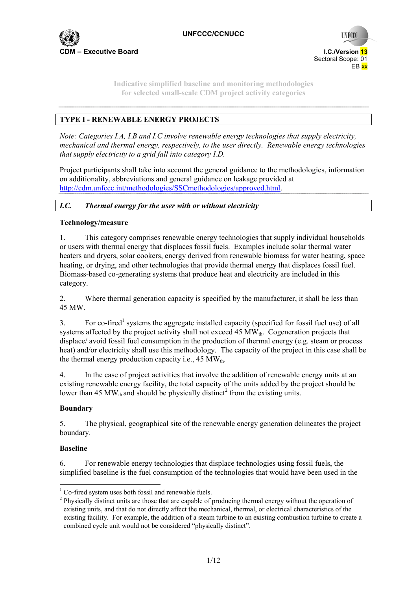

**UNFCC** 

**Indicative simplified baseline and monitoring methodologies for selected small-scale CDM project activity categories** 

# **TYPE I - RENEWABLE ENERGY PROJECTS**

*Note: Categories I.A, I.B and I.C involve renewable energy technologies that supply electricity, mechanical and thermal energy, respectively, to the user directly. Renewable energy technologies that supply electricity to a grid fall into category I.D.* 

Project participants shall take into account the general guidance to the methodologies, information on additionality, abbreviations and general guidance on leakage provided at http://cdm.unfccc.int/methodologies/SSCmethodologies/approved.html.

## *I.C. Thermal energy for the user with or without electricity*

## **Technology/measure**

1. This category comprises renewable energy technologies that supply individual households or users with thermal energy that displaces fossil fuels. Examples include solar thermal water heaters and dryers, solar cookers, energy derived from renewable biomass for water heating, space heating, or drying, and other technologies that provide thermal energy that displaces fossil fuel. Biomass-based co-generating systems that produce heat and electricity are included in this category.

2. Where thermal generation capacity is specified by the manufacturer, it shall be less than 45 MW.

3. For co-fired<sup>1</sup> systems the aggregate installed capacity (specified for fossil fuel use) of all systems affected by the project activity shall not exceed 45  $MW<sub>th</sub>$ . Cogeneration projects that displace/ avoid fossil fuel consumption in the production of thermal energy (e.g. steam or process heat) and/or electricity shall use this methodology. The capacity of the project in this case shall be the thermal energy production capacity i.e.,  $45 \text{ MW}_{th}$ .

4. In the case of project activities that involve the addition of renewable energy units at an existing renewable energy facility, the total capacity of the units added by the project should be lower than 45 MW $_{\text{th}}$  and should be physically distinct<sup>2</sup> from the existing units.

## **Boundary**

5. The physical, geographical site of the renewable energy generation delineates the project boundary.

## **Baseline**

6. For renewable energy technologies that displace technologies using fossil fuels, the simplified baseline is the fuel consumption of the technologies that would have been used in the

<sup>&</sup>lt;sup>1</sup> Co-fired system uses both fossil and renewable fuels.

<sup>&</sup>lt;sup>2</sup> Physically distinct units are those that are capable of producing thermal energy without the operation of existing units, and that do not directly affect the mechanical, thermal, or electrical characteristics of the existing facility. For example, the addition of a steam turbine to an existing combustion turbine to create a combined cycle unit would not be considered "physically distinct".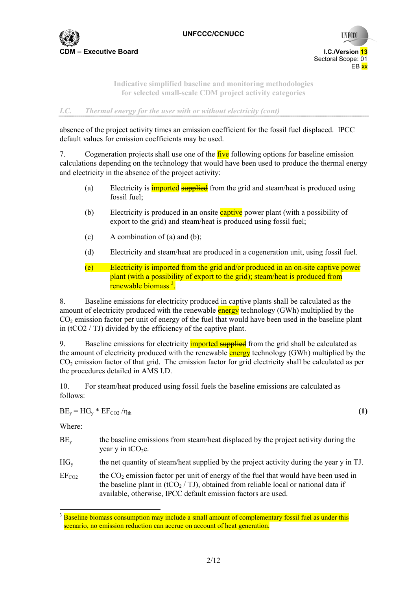

> **Indicative simplified baseline and monitoring methodologies for selected small-scale CDM project activity categories**

*I.C. Thermal energy for the user with or without electricity (cont)* 

absence of the project activity times an emission coefficient for the fossil fuel displaced. IPCC default values for emission coefficients may be used.

7. Cogeneration projects shall use one of the five following options for baseline emission calculations depending on the technology that would have been used to produce the thermal energy and electricity in the absence of the project activity:

- (a) Electricity is **imported** supplied from the grid and steam/heat is produced using fossil fuel;
- (b) Electricity is produced in an onsite captive power plant (with a possibility of export to the grid) and steam/heat is produced using fossil fuel;
- (c)  $\blacksquare$  A combination of (a) and (b);
- (d) Electricity and steam/heat are produced in a cogeneration unit, using fossil fuel.
- (e) Electricity is imported from the grid and/or produced in an on-site captive power plant (with a possibility of export to the grid); steam/heat is produced from renewable biomass<sup>3</sup>.

8. Baseline emissions for electricity produced in captive plants shall be calculated as the amount of electricity produced with the renewable energy technology (GWh) multiplied by the  $CO<sub>2</sub>$  emission factor per unit of energy of the fuel that would have been used in the baseline plant in (tCO2 / TJ) divided by the efficiency of the captive plant.

9. Baseline emissions for electricity **imported supplied** from the grid shall be calculated as the amount of electricity produced with the renewable energy technology (GWh) multiplied by the CO2 emission factor of that grid. The emission factor for grid electricity shall be calculated as per the procedures detailed in AMS I.D.

10. For steam/heat produced using fossil fuels the baseline emissions are calculated as follows:

 $BE_v = HG_v * EF_{CO2}/\eta_{th}$  (1)

Where:

- $BE<sub>v</sub>$  the baseline emissions from steam/heat displaced by the project activity during the year y in  $tCO<sub>2</sub>e$ .
- $HG<sub>v</sub>$  the net quantity of steam/heat supplied by the project activity during the year y in TJ.

 $EF<sub>CO2</sub>$  the CO<sub>2</sub> emission factor per unit of energy of the fuel that would have been used in the baseline plant in (tCO<sub>2</sub> / TJ), obtained from reliable local or national data if available, otherwise, IPCC default emission factors are used.

<sup>&</sup>lt;sup>3</sup> Baseline biomass consumption may include a small amount of complementary fossil fuel as under this scenario, no emission reduction can accrue on account of heat generation.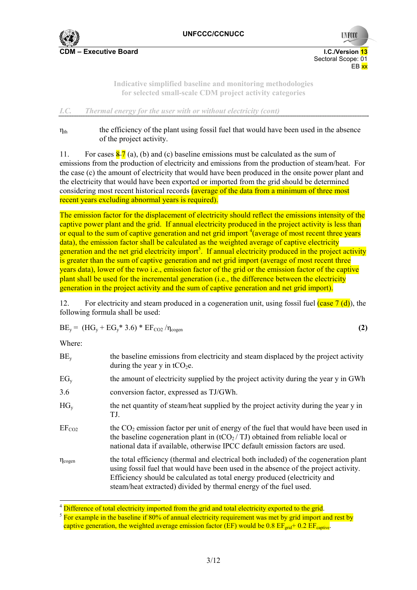

**UNFCC** 

**Indicative simplified baseline and monitoring methodologies for selected small-scale CDM project activity categories** 

### *I.C. Thermal energy for the user with or without electricity (cont)*

 $\eta_{th}$  the efficiency of the plant using fossil fuel that would have been used in the absence of the project activity.

11. For cases  $\frac{8}{2}$  (a), (b) and (c) baseline emissions must be calculated as the sum of emissions from the production of electricity and emissions from the production of steam/heat. For the case (c) the amount of electricity that would have been produced in the onsite power plant and the electricity that would have been exported or imported from the grid should be determined considering most recent historical records (average of the data from a minimum of three most recent years excluding abnormal years is required).

The emission factor for the displacement of electricity should reflect the emissions intensity of the captive power plant and the grid. If annual electricity produced in the project activity is less than or equal to the sum of captive generation and net grid import  $\frac{4}{3}$  (average of most recent three years data), the emission factor shall be calculated as the weighted average of captive electricity generation and the net grid electricity import<sup>5</sup>. If annual electricity produced in the project activity is greater than the sum of captive generation and net grid import (average of most recent three years data), lower of the two i.e., emission factor of the grid or the emission factor of the captive plant shall be used for the incremental generation (i.e., the difference between the electricity generation in the project activity and the sum of captive generation and net grid import).

12. For electricity and steam produced in a cogeneration unit, using fossil fuel  $(case 7 (d))$ , the following formula shall be used:

$$
BE_y = (HG_y + EG_y^* 3.6)^* EF_{CO2}/\eta_{cogen}
$$
 (2)

Where:

| $BE_v$                | the baseline emissions from electricity and steam displaced by the project activity<br>during the year y in $tCO2e$ .                                                                                                                                                                                                          |
|-----------------------|--------------------------------------------------------------------------------------------------------------------------------------------------------------------------------------------------------------------------------------------------------------------------------------------------------------------------------|
| EG <sub>v</sub>       | the amount of electricity supplied by the project activity during the year y in GWh                                                                                                                                                                                                                                            |
| 3.6                   | conversion factor, expressed as TJ/GWh.                                                                                                                                                                                                                                                                                        |
| $HG_v$                | the net quantity of steam/heat supplied by the project activity during the year y in<br>TJ.                                                                                                                                                                                                                                    |
| EF <sub>CO2</sub>     | the $CO2$ emission factor per unit of energy of the fuel that would have been used in<br>the baseline cogeneration plant in $(tCO_2/TJ)$ obtained from reliable local or<br>national data if available, otherwise IPCC default emission factors are used.                                                                      |
| $\eta_{\text{cogen}}$ | the total efficiency (thermal and electrical both included) of the cogeneration plant<br>using fossil fuel that would have been used in the absence of the project activity.<br>Efficiency should be calculated as total energy produced (electricity and<br>steam/heat extracted) divided by thermal energy of the fuel used. |

<sup>&</sup>lt;sup>4</sup> Difference of total electricity imported from the grid and total electricity exported to the grid.

<sup>&</sup>lt;sup>5</sup> For example in the baseline if 80% of annual electricity requirement was met by grid import and rest by captive generation, the weighted average emission factor (EF) would be 0.8  $EF_{grid}$ + 0.2  $EF_{control}$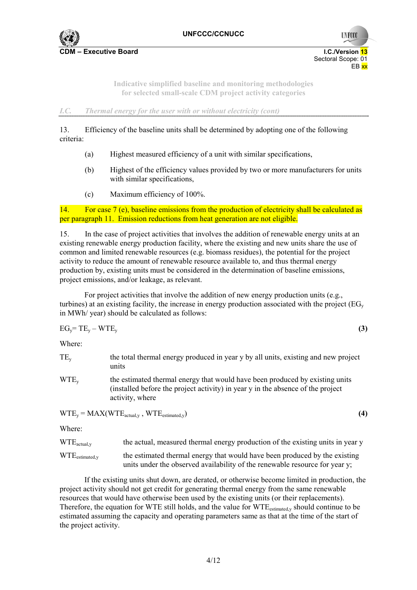

**UNFCO** 

**Indicative simplified baseline and monitoring methodologies for selected small-scale CDM project activity categories** 

*I.C. Thermal energy for the user with or without electricity (cont)* 

13. Efficiency of the baseline units shall be determined by adopting one of the following criteria:

- (a) Highest measured efficiency of a unit with similar specifications,
- (b) Highest of the efficiency values provided by two or more manufacturers for units with similar specifications,
- (c) Maximum efficiency of 100%.

14. For case 7 (e), baseline emissions from the production of electricity shall be calculated as per paragraph 11. Emission reductions from heat generation are not eligible.

15. In the case of project activities that involves the addition of renewable energy units at an existing renewable energy production facility, where the existing and new units share the use of common and limited renewable resources (e.g. biomass residues), the potential for the project activity to reduce the amount of renewable resource available to, and thus thermal energy production by, existing units must be considered in the determination of baseline emissions, project emissions, and/or leakage, as relevant.

For project activities that involve the addition of new energy production units (e.g., turbines) at an existing facility, the increase in energy production associated with the project ( $EG<sub>v</sub>$ ) in MWh/ year) should be calculated as follows:

 $EG_v = TE_v - WTE_v$  (3)

Where:

| $TE_{v}$                                         | the total thermal energy produced in year y by all units, existing and new project<br>units                                                                                        |     |
|--------------------------------------------------|------------------------------------------------------------------------------------------------------------------------------------------------------------------------------------|-----|
| $WTE_v$                                          | the estimated thermal energy that would have been produced by existing units<br>(installed before the project activity) in year y in the absence of the project<br>activity, where |     |
| $WTE_v = MAX(WTE_{actual,v}, WTE_{estimated,v})$ |                                                                                                                                                                                    | (4) |
| Where:                                           |                                                                                                                                                                                    |     |
| $WTE_{\text{actual},y}$                          | the actual, measured thermal energy production of the existing units in year y                                                                                                     |     |

WTE<sub>estimated v</sub> the estimated thermal energy that would have been produced by the existing units under the observed availability of the renewable resource for year y;

If the existing units shut down, are derated, or otherwise become limited in production, the project activity should not get credit for generating thermal energy from the same renewable resources that would have otherwise been used by the existing units (or their replacements). Therefore, the equation for WTE still holds, and the value for WTE<sub>estimated,y</sub> should continue to be estimated assuming the capacity and operating parameters same as that at the time of the start of the project activity.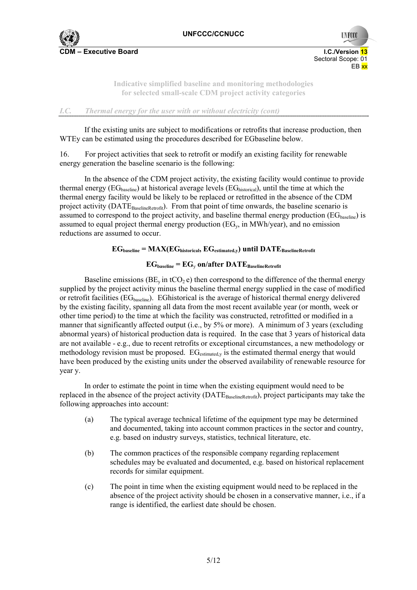

> **Indicative simplified baseline and monitoring methodologies for selected small-scale CDM project activity categories**

*I.C. Thermal energy for the user with or without electricity (cont)* 

If the existing units are subject to modifications or retrofits that increase production, then WTEy can be estimated using the procedures described for EGbaseline below.

16. For project activities that seek to retrofit or modify an existing facility for renewable energy generation the baseline scenario is the following:

In the absence of the CDM project activity, the existing facility would continue to provide thermal energy ( $EG<sub>baseline</sub>$ ) at historical average levels ( $EG<sub>bistorical</sub>$ ), until the time at which the thermal energy facility would be likely to be replaced or retrofitted in the absence of the CDM project activity (DATE<sub>BaselineRetrofit</sub>). From that point of time onwards, the baseline scenario is assumed to correspond to the project activity, and baseline thermal energy production  $(\text{EG}_{\text{baseline}})$  is assumed to equal project thermal energy production ( $EG<sub>v</sub>$ , in MWh/year), and no emission reductions are assumed to occur.

# $EG_{baseline} = MAX(EG_{historical}, EG_{estimated,y})$  until  $DATE_{BaselineRetrofit}$

# $EG_{\text{baseline}} = EG_{\text{v}}$  on/after  $\text{DATE}_{\text{BaselineRetrofit}}$

Baseline emissions ( $BE_v$  in tCO<sub>2</sub> e) then correspond to the difference of the thermal energy supplied by the project activity minus the baseline thermal energy supplied in the case of modified or retrofit facilities (EG<sub>baseline</sub>). EGhistorical is the average of historical thermal energy delivered by the existing facility, spanning all data from the most recent available year (or month, week or other time period) to the time at which the facility was constructed, retrofitted or modified in a manner that significantly affected output (i.e., by 5% or more). A minimum of 3 years (excluding abnormal years) of historical production data is required. In the case that 3 years of historical data are not available - e.g., due to recent retrofits or exceptional circumstances, a new methodology or methodology revision must be proposed.  $EG_{estimated,v}$  is the estimated thermal energy that would have been produced by the existing units under the observed availability of renewable resource for year y.

In order to estimate the point in time when the existing equipment would need to be replaced in the absence of the project activity (DATE<sub>BaselineRetrofit</sub>), project participants may take the following approaches into account:

- (a) The typical average technical lifetime of the equipment type may be determined and documented, taking into account common practices in the sector and country, e.g. based on industry surveys, statistics, technical literature, etc.
- (b) The common practices of the responsible company regarding replacement schedules may be evaluated and documented, e.g. based on historical replacement records for similar equipment.
- (c) The point in time when the existing equipment would need to be replaced in the absence of the project activity should be chosen in a conservative manner, i.e., if a range is identified, the earliest date should be chosen.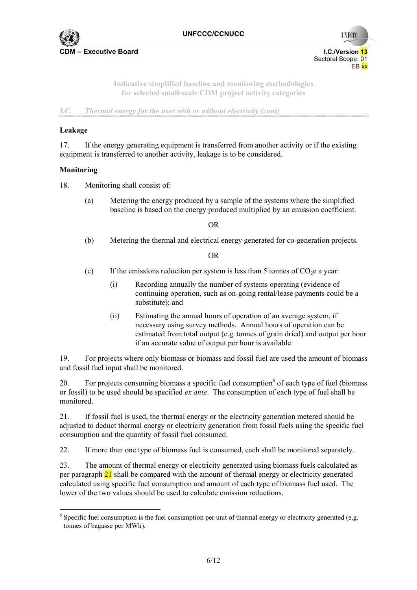

> **Indicative simplified baseline and monitoring methodologies for selected small-scale CDM project activity categories**

*I.C. Thermal energy for the user with or without electricity (cont)* 

## **Leakage**

17. If the energy generating equipment is transferred from another activity or if the existing equipment is transferred to another activity, leakage is to be considered.

### **Monitoring**

- 18. Monitoring shall consist of:
	- (a) Metering the energy produced by a sample of the systems where the simplified baseline is based on the energy produced multiplied by an emission coefficient.

OR

(b) Metering the thermal and electrical energy generated for co-generation projects.

OR

- (c) If the emissions reduction per system is less than 5 tonnes of  $CO<sub>2</sub>e$  a year:
	- (i) Recording annually the number of systems operating (evidence of continuing operation, such as on-going rental/lease payments could be a substitute); and
	- (ii) Estimating the annual hours of operation of an average system, if necessary using survey methods. Annual hours of operation can be estimated from total output (e.g. tonnes of grain dried) and output per hour if an accurate value of output per hour is available.

19. For projects where only biomass or biomass and fossil fuel are used the amount of biomass and fossil fuel input shall be monitored.

20. For projects consuming biomass a specific fuel consumption  $6$  of each type of fuel (biomass or fossil) to be used should be specified *ex ante*. The consumption of each type of fuel shall be monitored.

21. If fossil fuel is used, the thermal energy or the electricity generation metered should be adjusted to deduct thermal energy or electricity generation from fossil fuels using the specific fuel consumption and the quantity of fossil fuel consumed.

22. If more than one type of biomass fuel is consumed, each shall be monitored separately.

23. The amount of thermal energy or electricity generated using biomass fuels calculated as per paragraph 21 shall be compared with the amount of thermal energy or electricity generated calculated using specific fuel consumption and amount of each type of biomass fuel used. The lower of the two values should be used to calculate emission reductions.

 $6$  Specific fuel consumption is the fuel consumption per unit of thermal energy or electricity generated (e.g. tonnes of bagasse per MWh).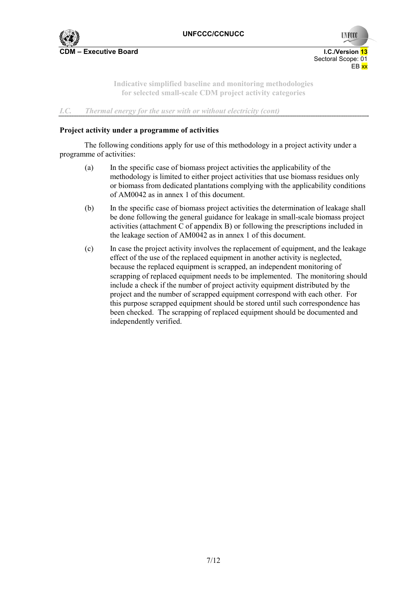

**UNFCO** 

**Indicative simplified baseline and monitoring methodologies for selected small-scale CDM project activity categories** 

*I.C. Thermal energy for the user with or without electricity (cont)* 

### **Project activity under a programme of activities**

The following conditions apply for use of this methodology in a project activity under a programme of activities:

- (a) In the specific case of biomass project activities the applicability of the methodology is limited to either project activities that use biomass residues only or biomass from dedicated plantations complying with the applicability conditions of AM0042 as in annex 1 of this document.
- (b) In the specific case of biomass project activities the determination of leakage shall be done following the general guidance for leakage in small-scale biomass project activities (attachment C of appendix B) or following the prescriptions included in the leakage section of AM0042 as in annex 1 of this document.
- (c) In case the project activity involves the replacement of equipment, and the leakage effect of the use of the replaced equipment in another activity is neglected, because the replaced equipment is scrapped, an independent monitoring of scrapping of replaced equipment needs to be implemented. The monitoring should include a check if the number of project activity equipment distributed by the project and the number of scrapped equipment correspond with each other. For this purpose scrapped equipment should be stored until such correspondence has been checked. The scrapping of replaced equipment should be documented and independently verified.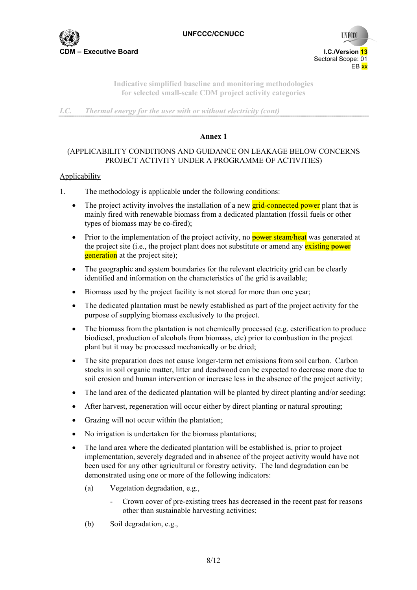

**UNFCC** 

**Indicative simplified baseline and monitoring methodologies for selected small-scale CDM project activity categories** 

*I.C. Thermal energy for the user with or without electricity (cont)* 

#### **Annex 1**

## (APPLICABILITY CONDITIONS AND GUIDANCE ON LEAKAGE BELOW CONCERNS PROJECT ACTIVITY UNDER A PROGRAMME OF ACTIVITIES)

### **Applicability**

- 1. The methodology is applicable under the following conditions:
	- The project activity involves the installation of a new  $\frac{grid\text{-}connected\cdot power}{grid\cdot qower}$  plant that is mainly fired with renewable biomass from a dedicated plantation (fossil fuels or other types of biomass may be co-fired);
	- Prior to the implementation of the project activity, no **power steam/heat** was generated at the project site (i.e., the project plant does not substitute or amend any existing power **generation** at the project site);
	- The geographic and system boundaries for the relevant electricity grid can be clearly identified and information on the characteristics of the grid is available;
	- Biomass used by the project facility is not stored for more than one year;
	- The dedicated plantation must be newly established as part of the project activity for the purpose of supplying biomass exclusively to the project.
	- The biomass from the plantation is not chemically processed (e.g. esterification to produce biodiesel, production of alcohols from biomass, etc) prior to combustion in the project plant but it may be processed mechanically or be dried;
	- The site preparation does not cause longer-term net emissions from soil carbon. Carbon stocks in soil organic matter, litter and deadwood can be expected to decrease more due to soil erosion and human intervention or increase less in the absence of the project activity;
	- The land area of the dedicated plantation will be planted by direct planting and/or seeding;
	- After harvest, regeneration will occur either by direct planting or natural sprouting;
	- Grazing will not occur within the plantation;
	- No irrigation is undertaken for the biomass plantations;
	- The land area where the dedicated plantation will be established is, prior to project implementation, severely degraded and in absence of the project activity would have not been used for any other agricultural or forestry activity. The land degradation can be demonstrated using one or more of the following indicators:
		- (a) Vegetation degradation, e.g.,
			- Crown cover of pre-existing trees has decreased in the recent past for reasons other than sustainable harvesting activities;
		- (b) Soil degradation, e.g.,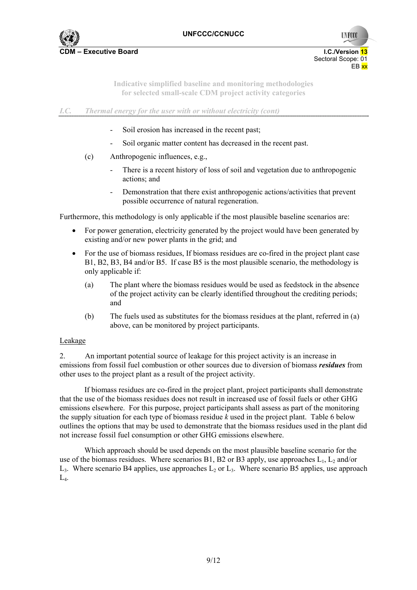

**UNFCC** 

**Indicative simplified baseline and monitoring methodologies for selected small-scale CDM project activity categories** 

*I.C. Thermal energy for the user with or without electricity (cont)* 

- Soil erosion has increased in the recent past;
- Soil organic matter content has decreased in the recent past.
- (c) Anthropogenic influences, e.g.,
	- There is a recent history of loss of soil and vegetation due to anthropogenic actions; and
	- Demonstration that there exist anthropogenic actions/activities that prevent possible occurrence of natural regeneration.

Furthermore, this methodology is only applicable if the most plausible baseline scenarios are:

- For power generation, electricity generated by the project would have been generated by existing and/or new power plants in the grid; and
- For the use of biomass residues, If biomass residues are co-fired in the project plant case B1, B2, B3, B4 and/or B5. If case B5 is the most plausible scenario, the methodology is only applicable if:
	- (a) The plant where the biomass residues would be used as feedstock in the absence of the project activity can be clearly identified throughout the crediting periods; and
	- (b) The fuels used as substitutes for the biomass residues at the plant, referred in (a) above, can be monitored by project participants.

#### Leakage

2. An important potential source of leakage for this project activity is an increase in emissions from fossil fuel combustion or other sources due to diversion of biomass *residues* from other uses to the project plant as a result of the project activity.

If biomass residues are co-fired in the project plant, project participants shall demonstrate that the use of the biomass residues does not result in increased use of fossil fuels or other GHG emissions elsewhere. For this purpose, project participants shall assess as part of the monitoring the supply situation for each type of biomass residue *k* used in the project plant. Table 6 below outlines the options that may be used to demonstrate that the biomass residues used in the plant did not increase fossil fuel consumption or other GHG emissions elsewhere.

Which approach should be used depends on the most plausible baseline scenario for the use of the biomass residues. Where scenarios B1, B2 or B3 apply, use approaches  $L_1$ ,  $L_2$  and/or  $L_3$ . Where scenario B4 applies, use approaches  $L_2$  or  $L_3$ . Where scenario B5 applies, use approach  $L_4$ .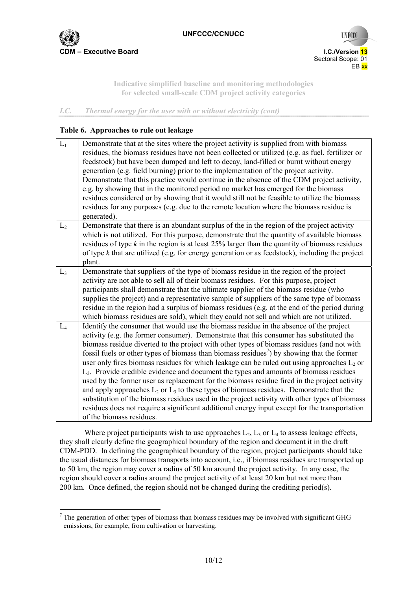

 Sectoral Scope: 01 en de la provincia de la provincia de la provincia de la provincia de la provincia de la provincia de la provi

**UNFCO** 

**Indicative simplified baseline and monitoring methodologies for selected small-scale CDM project activity categories** 

## *I.C. Thermal energy for the user with or without electricity (cont)*

#### **Table 6. Approaches to rule out leakage**

| $L_1$          | Demonstrate that at the sites where the project activity is supplied from with biomass<br>residues, the biomass residues have not been collected or utilized (e.g. as fuel, fertilizer or<br>feedstock) but have been dumped and left to decay, land-filled or burnt without energy<br>generation (e.g. field burning) prior to the implementation of the project activity.<br>Demonstrate that this practice would continue in the absence of the CDM project activity,<br>e.g. by showing that in the monitored period no market has emerged for the biomass<br>residues considered or by showing that it would still not be feasible to utilize the biomass<br>residues for any purposes (e.g. due to the remote location where the biomass residue is<br>generated).                                                                                                                                                                                                                                                      |
|----------------|-------------------------------------------------------------------------------------------------------------------------------------------------------------------------------------------------------------------------------------------------------------------------------------------------------------------------------------------------------------------------------------------------------------------------------------------------------------------------------------------------------------------------------------------------------------------------------------------------------------------------------------------------------------------------------------------------------------------------------------------------------------------------------------------------------------------------------------------------------------------------------------------------------------------------------------------------------------------------------------------------------------------------------|
| L <sub>2</sub> | Demonstrate that there is an abundant surplus of the in the region of the project activity                                                                                                                                                                                                                                                                                                                                                                                                                                                                                                                                                                                                                                                                                                                                                                                                                                                                                                                                    |
|                | which is not utilized. For this purpose, demonstrate that the quantity of available biomass                                                                                                                                                                                                                                                                                                                                                                                                                                                                                                                                                                                                                                                                                                                                                                                                                                                                                                                                   |
|                | residues of type $k$ in the region is at least 25% larger than the quantity of biomass residues<br>of type $k$ that are utilized (e.g. for energy generation or as feedstock), including the project                                                                                                                                                                                                                                                                                                                                                                                                                                                                                                                                                                                                                                                                                                                                                                                                                          |
|                | plant.                                                                                                                                                                                                                                                                                                                                                                                                                                                                                                                                                                                                                                                                                                                                                                                                                                                                                                                                                                                                                        |
| L <sub>3</sub> | Demonstrate that suppliers of the type of biomass residue in the region of the project                                                                                                                                                                                                                                                                                                                                                                                                                                                                                                                                                                                                                                                                                                                                                                                                                                                                                                                                        |
|                | activity are not able to sell all of their biomass residues. For this purpose, project                                                                                                                                                                                                                                                                                                                                                                                                                                                                                                                                                                                                                                                                                                                                                                                                                                                                                                                                        |
|                | participants shall demonstrate that the ultimate supplier of the biomass residue (who                                                                                                                                                                                                                                                                                                                                                                                                                                                                                                                                                                                                                                                                                                                                                                                                                                                                                                                                         |
|                | supplies the project) and a representative sample of suppliers of the same type of biomass                                                                                                                                                                                                                                                                                                                                                                                                                                                                                                                                                                                                                                                                                                                                                                                                                                                                                                                                    |
|                | residue in the region had a surplus of biomass residues (e.g. at the end of the period during                                                                                                                                                                                                                                                                                                                                                                                                                                                                                                                                                                                                                                                                                                                                                                                                                                                                                                                                 |
|                | which biomass residues are sold), which they could not sell and which are not utilized.                                                                                                                                                                                                                                                                                                                                                                                                                                                                                                                                                                                                                                                                                                                                                                                                                                                                                                                                       |
| $L_4$          | Identify the consumer that would use the biomass residue in the absence of the project<br>activity (e.g. the former consumer). Demonstrate that this consumer has substituted the<br>biomass residue diverted to the project with other types of biomass residues (and not with<br>fossil fuels or other types of biomass than biomass residues <sup>7</sup> ) by showing that the former<br>user only fires biomass residues for which leakage can be ruled out using approaches $L_2$ or<br>L <sub>3</sub> . Provide credible evidence and document the types and amounts of biomass residues<br>used by the former user as replacement for the biomass residue fired in the project activity<br>and apply approaches $L_2$ or $L_3$ to these types of biomass residues. Demonstrate that the<br>substitution of the biomass residues used in the project activity with other types of biomass<br>residues does not require a significant additional energy input except for the transportation<br>of the biomass residues. |

Where project participants wish to use approaches  $L_2$ ,  $L_3$  or  $L_4$  to assess leakage effects, they shall clearly define the geographical boundary of the region and document it in the draft CDM-PDD. In defining the geographical boundary of the region, project participants should take the usual distances for biomass transports into account, i.e., if biomass residues are transported up to 50 km, the region may cover a radius of 50 km around the project activity. In any case, the region should cover a radius around the project activity of at least 20 km but not more than 200 km. Once defined, the region should not be changed during the crediting period(s).

 $<sup>7</sup>$  The generation of other types of biomass than biomass residues may be involved with significant GHG</sup> emissions, for example, from cultivation or harvesting.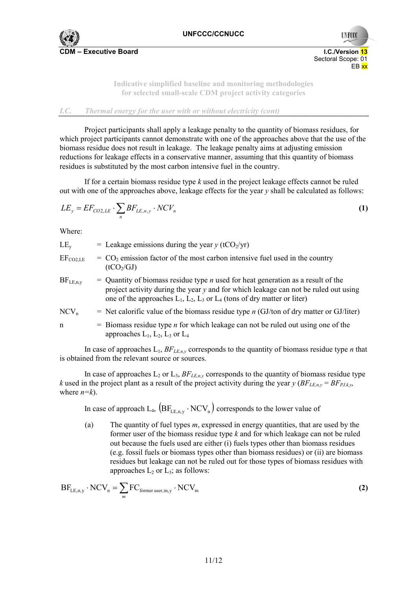

> **Indicative simplified baseline and monitoring methodologies for selected small-scale CDM project activity categories**

## *I.C. Thermal energy for the user with or without electricity (cont)*

Project participants shall apply a leakage penalty to the quantity of biomass residues, for which project participants cannot demonstrate with one of the approaches above that the use of the biomass residue does not result in leakage. The leakage penalty aims at adjusting emission reductions for leakage effects in a conservative manner, assuming that this quantity of biomass residues is substituted by the most carbon intensive fuel in the country.

If for a certain biomass residue type *k* used in the project leakage effects cannot be ruled out with one of the approaches above, leakage effects for the year  $\nu$  shall be calculated as follows:

$$
LE_y = EF_{CO2, LE} \cdot \sum_n BF_{LE, n, y} \cdot NCV_n \tag{1}
$$

Where:

- LE<sub>y</sub> = Leakage emissions during the year  $y$  (tCO<sub>2</sub>/yr)  $EF_{\text{CO2LE}}$  =  $CO_2$  emission factor of the most carbon intensive fuel used in the country
	- $(tCO<sub>2</sub>/GI)$
- $BF_{\text{LEny}}$  = Quantity of biomass residue type *n* used for heat generation as a result of the project activity during the year *y* and for which leakage can not be ruled out using one of the approaches  $L_1$ ,  $L_2$ ,  $L_3$  or  $L_4$  (tons of dry matter or liter)

$$
NCV_n
$$
 = Net calorific value of the biomass residue type *n* (GJ/ton of dry matter or GJ/liter)

n  $=$  Biomass residue type *n* for which leakage can not be ruled out using one of the approaches  $L_1$ ,  $L_2$ ,  $L_3$  or  $L_4$ 

In case of approaches  $L_1$ ,  $BF_{LE,n,y}$  corresponds to the quantity of biomass residue type *n* that is obtained from the relevant source or sources.

In case of approaches  $L_2$  or  $L_3$ ,  $BF_{LE,n,y}$  corresponds to the quantity of biomass residue type *k* used in the project plant as a result of the project activity during the year  $\gamma$  (*BF<sub>LE,n,y</sub>* = *BF<sub>PLk,y</sub>*, where *n=k*).

In case of approach L<sub>4</sub>,  $(BF_{LF,n,y} \cdot NCV_n)$  corresponds to the lower value of

(a) The quantity of fuel types *m*, expressed in energy quantities, that are used by the former user of the biomass residue type *k* and for which leakage can not be ruled out because the fuels used are either (i) fuels types other than biomass residues (e.g. fossil fuels or biomass types other than biomass residues) or (ii) are biomass residues but leakage can not be ruled out for those types of biomass residues with approaches  $L_2$  or  $L_3$ ; as follows:

$$
BF_{LE,n,y} \cdot NCV_n = \sum_{m} FC_{former \text{ user},m,y} \cdot NCV_m \tag{2}
$$